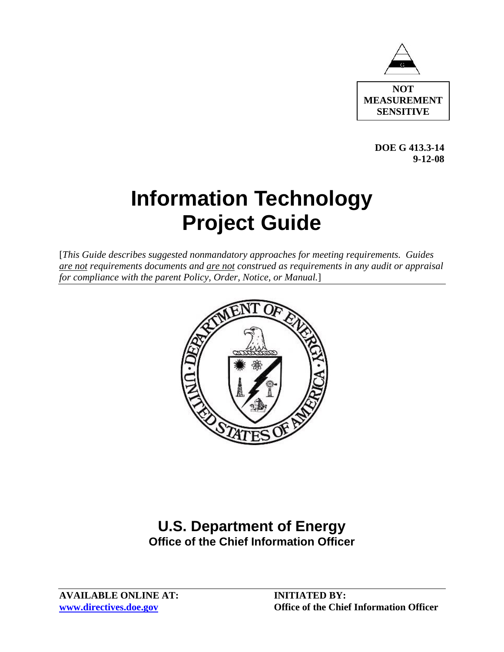

 **DOE G 413.3-14 9-12-08** 

# **Information Technology Project Guide**

[*This Guide describes suggested nonmandatory approaches for meeting requirements. Guides are not requirements documents and are not construed as requirements in any audit or appraisal for compliance with the parent Policy, Order, Notice, or Manual.*]



# **U.S. Department of Energy Office of the Chief Information Officer**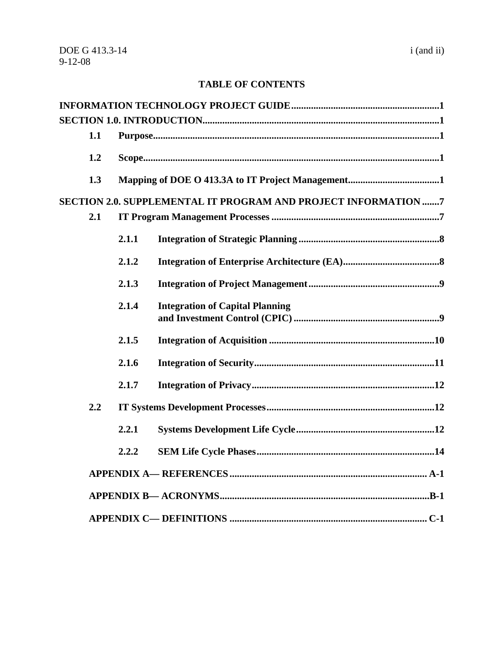# **TABLE OF CONTENTS**

| 1.1 |       |                                                                |  |
|-----|-------|----------------------------------------------------------------|--|
|     |       |                                                                |  |
| 1.2 |       |                                                                |  |
| 1.3 |       |                                                                |  |
|     |       | SECTION 2.0. SUPPLEMENTAL IT PROGRAM AND PROJECT INFORMATION 7 |  |
| 2.1 |       |                                                                |  |
|     | 2.1.1 |                                                                |  |
|     | 2.1.2 |                                                                |  |
|     | 2.1.3 |                                                                |  |
|     | 2.1.4 | <b>Integration of Capital Planning</b>                         |  |
|     | 2.1.5 |                                                                |  |
|     | 2.1.6 |                                                                |  |
|     | 2.1.7 |                                                                |  |
| 2.2 |       |                                                                |  |
|     | 2.2.1 |                                                                |  |
|     | 2.2.2 |                                                                |  |
|     |       |                                                                |  |
|     |       |                                                                |  |
|     |       |                                                                |  |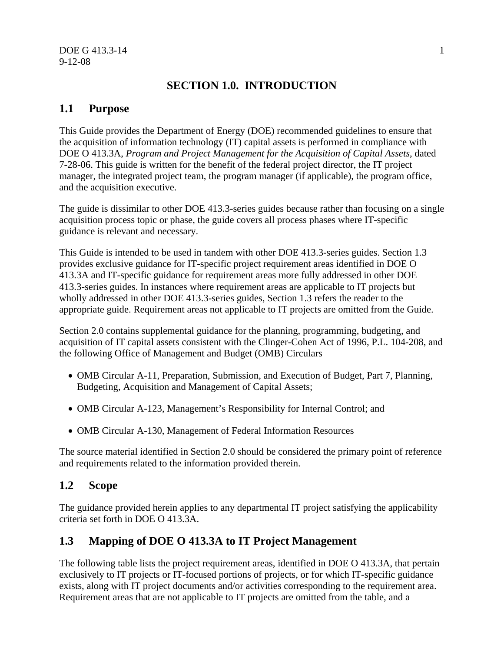# **SECTION 1.0. INTRODUCTION**

# **1.1 Purpose**

This Guide provides the Department of Energy (DOE) recommended guidelines to ensure that the acquisition of information technology (IT) capital assets is performed in compliance with DOE O 413.3A, *Program and Project Management for the Acquisition of Capital Assets*, dated 7-28-06. This guide is written for the benefit of the federal project director, the IT project manager, the integrated project team, the program manager (if applicable), the program office, and the acquisition executive.

The guide is dissimilar to other DOE 413.3-series guides because rather than focusing on a single acquisition process topic or phase, the guide covers all process phases where IT-specific guidance is relevant and necessary.

This Guide is intended to be used in tandem with other DOE 413.3-series guides. Section 1.3 provides exclusive guidance for IT-specific project requirement areas identified in DOE O 413.3A and IT-specific guidance for requirement areas more fully addressed in other DOE 413.3-series guides. In instances where requirement areas are applicable to IT projects but wholly addressed in other DOE 413.3-series guides, Section 1.3 refers the reader to the appropriate guide. Requirement areas not applicable to IT projects are omitted from the Guide.

Section 2.0 contains supplemental guidance for the planning, programming, budgeting, and acquisition of IT capital assets consistent with the Clinger-Cohen Act of 1996, P.L. 104-208, and the following Office of Management and Budget (OMB) Circulars

- OMB Circular A-11, Preparation, Submission, and Execution of Budget, Part 7, Planning, Budgeting, Acquisition and Management of Capital Assets;
- OMB Circular A-123, Management's Responsibility for Internal Control; and
- OMB Circular A-130, Management of Federal Information Resources

The source material identified in Section 2.0 should be considered the primary point of reference and requirements related to the information provided therein.

# **1.2 Scope**

The guidance provided herein applies to any departmental IT project satisfying the applicability criteria set forth in DOE O 413.3A.

# **1.3 Mapping of DOE O 413.3A to IT Project Management**

The following table lists the project requirement areas, identified in DOE O 413.3A, that pertain exclusively to IT projects or IT-focused portions of projects, or for which IT-specific guidance exists, along with IT project documents and/or activities corresponding to the requirement area. Requirement areas that are not applicable to IT projects are omitted from the table, and a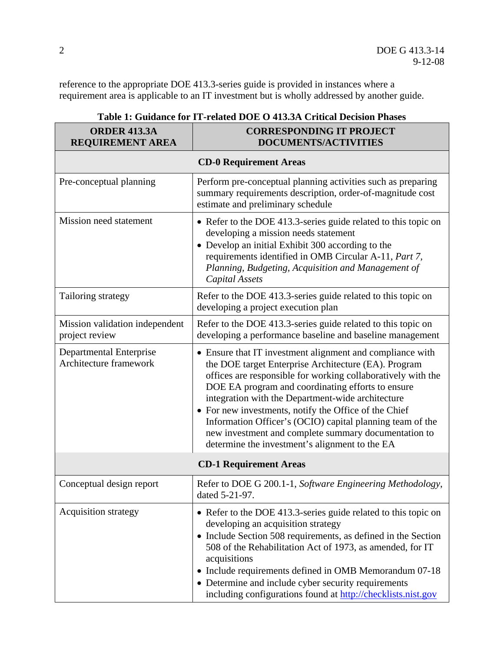reference to the appropriate DOE 413.3-series guide is provided in instances where a requirement area is applicable to an IT investment but is wholly addressed by another guide.

| <b>ORDER 413.3A</b><br><b>REQUIREMENT AREA</b>    | <b>CORRESPONDING IT PROJECT</b><br><b>DOCUMENTS/ACTIVITIES</b>                                                                                                                                                                                                                                                                                                                                                                                                                                                              |  |  |  |
|---------------------------------------------------|-----------------------------------------------------------------------------------------------------------------------------------------------------------------------------------------------------------------------------------------------------------------------------------------------------------------------------------------------------------------------------------------------------------------------------------------------------------------------------------------------------------------------------|--|--|--|
| <b>CD-0 Requirement Areas</b>                     |                                                                                                                                                                                                                                                                                                                                                                                                                                                                                                                             |  |  |  |
| Pre-conceptual planning                           | Perform pre-conceptual planning activities such as preparing<br>summary requirements description, order-of-magnitude cost<br>estimate and preliminary schedule                                                                                                                                                                                                                                                                                                                                                              |  |  |  |
| Mission need statement                            | • Refer to the DOE 413.3-series guide related to this topic on<br>developing a mission needs statement<br>• Develop an initial Exhibit 300 according to the<br>requirements identified in OMB Circular A-11, Part 7,<br>Planning, Budgeting, Acquisition and Management of<br>Capital Assets                                                                                                                                                                                                                                |  |  |  |
| Tailoring strategy                                | Refer to the DOE 413.3-series guide related to this topic on<br>developing a project execution plan                                                                                                                                                                                                                                                                                                                                                                                                                         |  |  |  |
| Mission validation independent<br>project review  | Refer to the DOE 413.3-series guide related to this topic on<br>developing a performance baseline and baseline management                                                                                                                                                                                                                                                                                                                                                                                                   |  |  |  |
| Departmental Enterprise<br>Architecture framework | • Ensure that IT investment alignment and compliance with<br>the DOE target Enterprise Architecture (EA). Program<br>offices are responsible for working collaboratively with the<br>DOE EA program and coordinating efforts to ensure<br>integration with the Department-wide architecture<br>• For new investments, notify the Office of the Chief<br>Information Officer's (OCIO) capital planning team of the<br>new investment and complete summary documentation to<br>determine the investment's alignment to the EA |  |  |  |
| <b>CD-1 Requirement Areas</b>                     |                                                                                                                                                                                                                                                                                                                                                                                                                                                                                                                             |  |  |  |
| Conceptual design report                          | Refer to DOE G 200.1-1, Software Engineering Methodology,<br>dated 5-21-97.                                                                                                                                                                                                                                                                                                                                                                                                                                                 |  |  |  |
| <b>Acquisition strategy</b>                       | • Refer to the DOE 413.3-series guide related to this topic on<br>developing an acquisition strategy<br>• Include Section 508 requirements, as defined in the Section<br>508 of the Rehabilitation Act of 1973, as amended, for IT<br>acquisitions<br>• Include requirements defined in OMB Memorandum 07-18<br>• Determine and include cyber security requirements<br>including configurations found at http://checklists.nist.gov                                                                                         |  |  |  |

# **Table 1: Guidance for IT-related DOE O 413.3A Critical Decision Phases**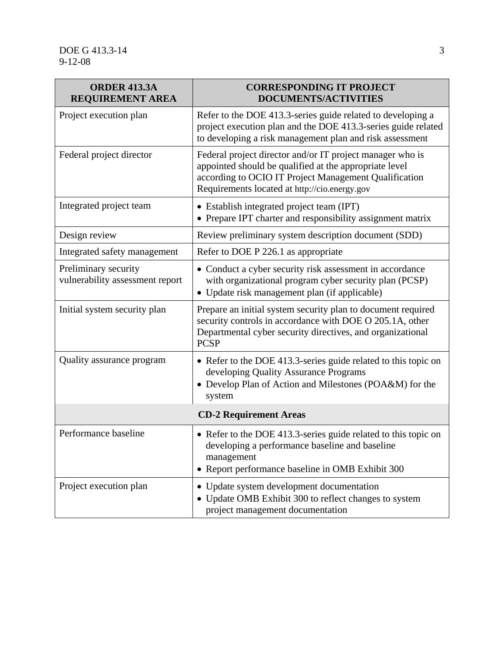| <b>ORDER 413.3A</b><br><b>REQUIREMENT AREA</b>          | <b>CORRESPONDING IT PROJECT</b><br><b>DOCUMENTS/ACTIVITIES</b>                                                                                                                                                                |  |  |  |
|---------------------------------------------------------|-------------------------------------------------------------------------------------------------------------------------------------------------------------------------------------------------------------------------------|--|--|--|
| Project execution plan                                  | Refer to the DOE 413.3-series guide related to developing a<br>project execution plan and the DOE 413.3-series guide related<br>to developing a risk management plan and risk assessment                                      |  |  |  |
| Federal project director                                | Federal project director and/or IT project manager who is<br>appointed should be qualified at the appropriate level<br>according to OCIO IT Project Management Qualification<br>Requirements located at http://cio.energy.gov |  |  |  |
| Integrated project team                                 | • Establish integrated project team (IPT)<br>• Prepare IPT charter and responsibility assignment matrix                                                                                                                       |  |  |  |
| Design review                                           | Review preliminary system description document (SDD)                                                                                                                                                                          |  |  |  |
| Integrated safety management                            | Refer to DOE P 226.1 as appropriate                                                                                                                                                                                           |  |  |  |
| Preliminary security<br>vulnerability assessment report | • Conduct a cyber security risk assessment in accordance<br>with organizational program cyber security plan (PCSP)<br>• Update risk management plan (if applicable)                                                           |  |  |  |
| Initial system security plan                            | Prepare an initial system security plan to document required<br>security controls in accordance with DOE O 205.1A, other<br>Departmental cyber security directives, and organizational<br><b>PCSP</b>                         |  |  |  |
| Quality assurance program                               | • Refer to the DOE 413.3-series guide related to this topic on<br>developing Quality Assurance Programs<br>• Develop Plan of Action and Milestones (POA&M) for the<br>system                                                  |  |  |  |
| <b>CD-2 Requirement Areas</b>                           |                                                                                                                                                                                                                               |  |  |  |
| Performance baseline                                    | • Refer to the DOE 413.3-series guide related to this topic on<br>developing a performance baseline and baseline<br>management<br>Report performance baseline in OMB Exhibit 300                                              |  |  |  |
| Project execution plan                                  | Update system development documentation<br>• Update OMB Exhibit 300 to reflect changes to system<br>project management documentation                                                                                          |  |  |  |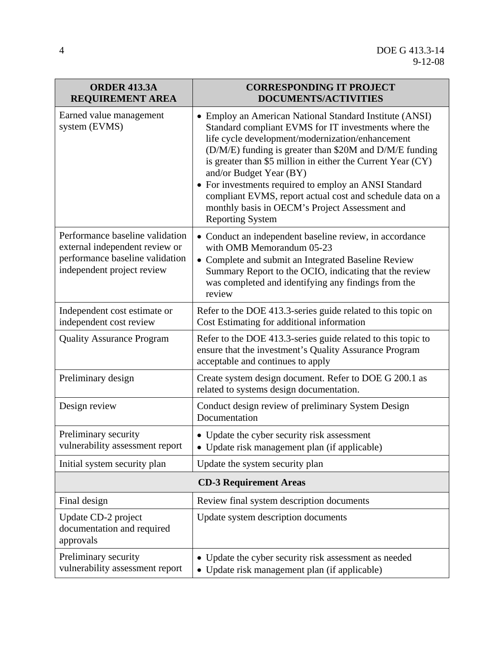| <b>ORDER 413.3A</b><br><b>REQUIREMENT AREA</b>                                                                                     | <b>CORRESPONDING IT PROJECT</b><br><b>DOCUMENTS/ACTIVITIES</b>                                                                                                                                                                                                                                                                                                                                                                                                                                                              |  |
|------------------------------------------------------------------------------------------------------------------------------------|-----------------------------------------------------------------------------------------------------------------------------------------------------------------------------------------------------------------------------------------------------------------------------------------------------------------------------------------------------------------------------------------------------------------------------------------------------------------------------------------------------------------------------|--|
| Earned value management<br>system (EVMS)                                                                                           | • Employ an American National Standard Institute (ANSI)<br>Standard compliant EVMS for IT investments where the<br>life cycle development/modernization/enhancement<br>(D/M/E) funding is greater than \$20M and D/M/E funding<br>is greater than \$5 million in either the Current Year (CY)<br>and/or Budget Year (BY)<br>• For investments required to employ an ANSI Standard<br>compliant EVMS, report actual cost and schedule data on a<br>monthly basis in OECM's Project Assessment and<br><b>Reporting System</b> |  |
| Performance baseline validation<br>external independent review or<br>performance baseline validation<br>independent project review | • Conduct an independent baseline review, in accordance<br>with OMB Memorandum 05-23<br>• Complete and submit an Integrated Baseline Review<br>Summary Report to the OCIO, indicating that the review<br>was completed and identifying any findings from the<br>review                                                                                                                                                                                                                                                      |  |
| Independent cost estimate or<br>independent cost review                                                                            | Refer to the DOE 413.3-series guide related to this topic on<br>Cost Estimating for additional information                                                                                                                                                                                                                                                                                                                                                                                                                  |  |
| <b>Quality Assurance Program</b>                                                                                                   | Refer to the DOE 413.3-series guide related to this topic to<br>ensure that the investment's Quality Assurance Program<br>acceptable and continues to apply                                                                                                                                                                                                                                                                                                                                                                 |  |
| Preliminary design                                                                                                                 | Create system design document. Refer to DOE G 200.1 as<br>related to systems design documentation.                                                                                                                                                                                                                                                                                                                                                                                                                          |  |
| Design review                                                                                                                      | Conduct design review of preliminary System Design<br>Documentation                                                                                                                                                                                                                                                                                                                                                                                                                                                         |  |
| Preliminary security<br>vulnerability assessment report                                                                            | • Update the cyber security risk assessment<br>Update risk management plan (if applicable)                                                                                                                                                                                                                                                                                                                                                                                                                                  |  |
| Initial system security plan                                                                                                       | Update the system security plan                                                                                                                                                                                                                                                                                                                                                                                                                                                                                             |  |
|                                                                                                                                    | <b>CD-3 Requirement Areas</b>                                                                                                                                                                                                                                                                                                                                                                                                                                                                                               |  |
| Final design                                                                                                                       | Review final system description documents                                                                                                                                                                                                                                                                                                                                                                                                                                                                                   |  |
| Update CD-2 project<br>documentation and required<br>approvals                                                                     | Update system description documents                                                                                                                                                                                                                                                                                                                                                                                                                                                                                         |  |
| Preliminary security<br>vulnerability assessment report                                                                            | Update the cyber security risk assessment as needed<br>$\bullet$<br>Update risk management plan (if applicable)<br>$\bullet$                                                                                                                                                                                                                                                                                                                                                                                                |  |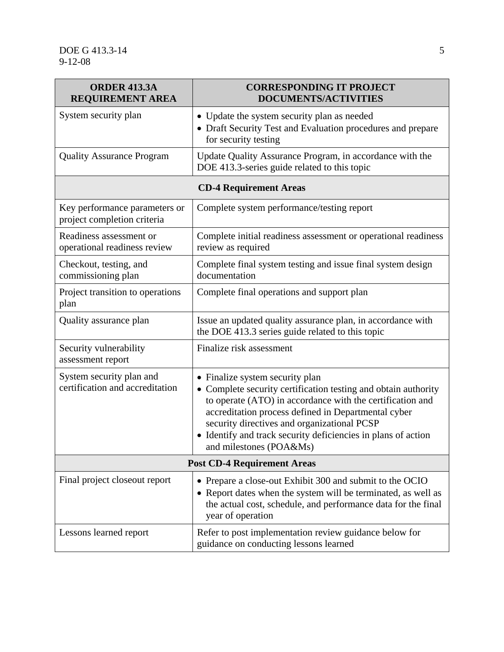| <b>ORDER 413.3A</b><br><b>REQUIREMENT AREA</b>               | <b>CORRESPONDING IT PROJECT</b><br><b>DOCUMENTS/ACTIVITIES</b>                                                                                                                                                                                                                                                                                                 |  |  |
|--------------------------------------------------------------|----------------------------------------------------------------------------------------------------------------------------------------------------------------------------------------------------------------------------------------------------------------------------------------------------------------------------------------------------------------|--|--|
| System security plan                                         | • Update the system security plan as needed<br>• Draft Security Test and Evaluation procedures and prepare<br>for security testing                                                                                                                                                                                                                             |  |  |
| <b>Quality Assurance Program</b>                             | Update Quality Assurance Program, in accordance with the<br>DOE 413.3-series guide related to this topic                                                                                                                                                                                                                                                       |  |  |
|                                                              | <b>CD-4 Requirement Areas</b>                                                                                                                                                                                                                                                                                                                                  |  |  |
| Key performance parameters or<br>project completion criteria | Complete system performance/testing report                                                                                                                                                                                                                                                                                                                     |  |  |
| Readiness assessment or<br>operational readiness review      | Complete initial readiness assessment or operational readiness<br>review as required                                                                                                                                                                                                                                                                           |  |  |
| Checkout, testing, and<br>commissioning plan                 | Complete final system testing and issue final system design<br>documentation                                                                                                                                                                                                                                                                                   |  |  |
| Project transition to operations<br>plan                     | Complete final operations and support plan                                                                                                                                                                                                                                                                                                                     |  |  |
| Quality assurance plan                                       | Issue an updated quality assurance plan, in accordance with<br>the DOE 413.3 series guide related to this topic                                                                                                                                                                                                                                                |  |  |
| Security vulnerability<br>assessment report                  | Finalize risk assessment                                                                                                                                                                                                                                                                                                                                       |  |  |
| System security plan and<br>certification and accreditation  | • Finalize system security plan<br>Complete security certification testing and obtain authority<br>to operate (ATO) in accordance with the certification and<br>accreditation process defined in Departmental cyber<br>security directives and organizational PCSP<br>• Identify and track security deficiencies in plans of action<br>and milestones (POA&Ms) |  |  |
| <b>Post CD-4 Requirement Areas</b>                           |                                                                                                                                                                                                                                                                                                                                                                |  |  |
| Final project closeout report                                | • Prepare a close-out Exhibit 300 and submit to the OCIO<br>• Report dates when the system will be terminated, as well as<br>the actual cost, schedule, and performance data for the final<br>year of operation                                                                                                                                                |  |  |
| Lessons learned report                                       | Refer to post implementation review guidance below for<br>guidance on conducting lessons learned                                                                                                                                                                                                                                                               |  |  |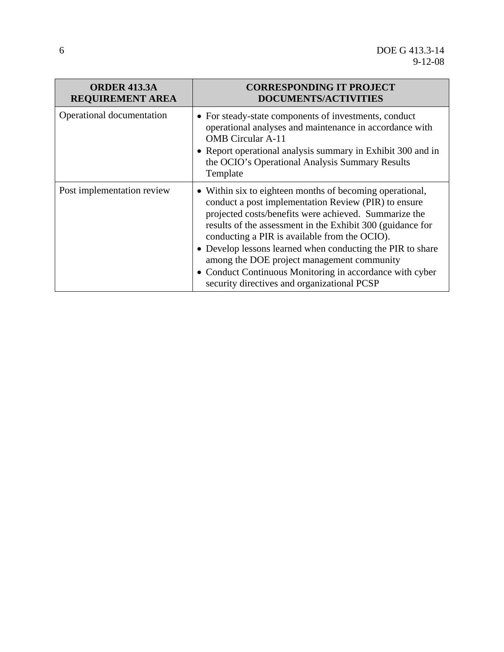| <b>ORDER 413.3A</b><br><b>REQUIREMENT AREA</b> | <b>CORRESPONDING IT PROJECT</b><br><b>DOCUMENTS/ACTIVITIES</b>                                                                                                                                                                                                                                                                                                                                                                                                                                                  |
|------------------------------------------------|-----------------------------------------------------------------------------------------------------------------------------------------------------------------------------------------------------------------------------------------------------------------------------------------------------------------------------------------------------------------------------------------------------------------------------------------------------------------------------------------------------------------|
| Operational documentation                      | • For steady-state components of investments, conduct<br>operational analyses and maintenance in accordance with<br><b>OMB</b> Circular A-11<br>• Report operational analysis summary in Exhibit 300 and in<br>the OCIO's Operational Analysis Summary Results<br>Template                                                                                                                                                                                                                                      |
| Post implementation review                     | • Within six to eighteen months of becoming operational,<br>conduct a post implementation Review (PIR) to ensure<br>projected costs/benefits were achieved. Summarize the<br>results of the assessment in the Exhibit 300 (guidance for<br>conducting a PIR is available from the OCIO).<br>• Develop lessons learned when conducting the PIR to share<br>among the DOE project management community<br>• Conduct Continuous Monitoring in accordance with cyber<br>security directives and organizational PCSP |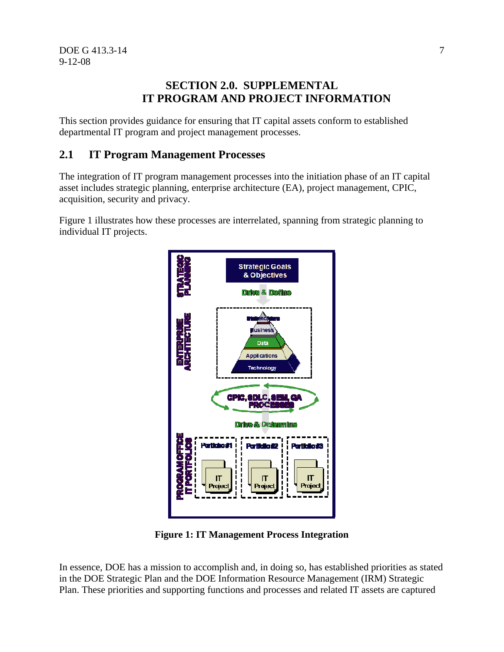# **SECTION 2.0. SUPPLEMENTAL IT PROGRAM AND PROJECT INFORMATION**

This section provides guidance for ensuring that IT capital assets conform to established departmental IT program and project management processes.

# **2.1 IT Program Management Processes**

The integration of IT program management processes into the initiation phase of an IT capital asset includes strategic planning, enterprise architecture (EA), project management, CPIC, acquisition, security and privacy.

Figure 1 illustrates how these processes are interrelated, spanning from strategic planning to individual IT projects.



**Figure 1: IT Management Process Integration** 

In essence, DOE has a mission to accomplish and, in doing so, has established priorities as stated in the DOE Strategic Plan and the DOE Information Resource Management (IRM) Strategic Plan. These priorities and supporting functions and processes and related IT assets are captured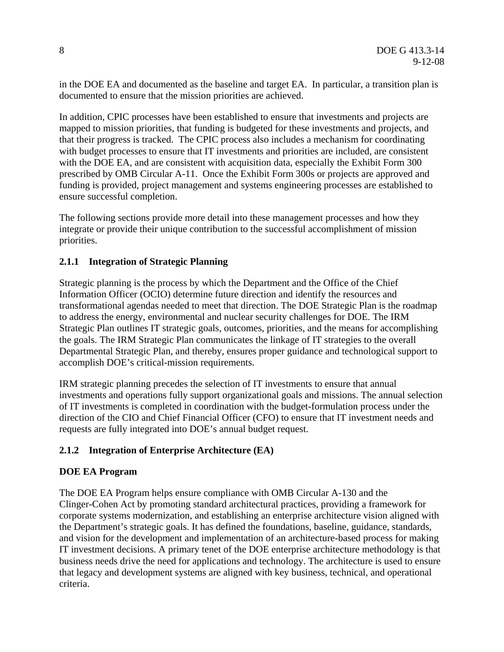in the DOE EA and documented as the baseline and target EA. In particular, a transition plan is documented to ensure that the mission priorities are achieved.

In addition, CPIC processes have been established to ensure that investments and projects are mapped to mission priorities, that funding is budgeted for these investments and projects, and that their progress is tracked. The CPIC process also includes a mechanism for coordinating with budget processes to ensure that IT investments and priorities are included, are consistent with the DOE EA, and are consistent with acquisition data, especially the Exhibit Form 300 prescribed by OMB Circular A-11. Once the Exhibit Form 300s or projects are approved and funding is provided, project management and systems engineering processes are established to ensure successful completion.

The following sections provide more detail into these management processes and how they integrate or provide their unique contribution to the successful accomplishment of mission priorities.

#### **2.1.1 Integration of Strategic Planning**

Strategic planning is the process by which the Department and the Office of the Chief Information Officer (OCIO) determine future direction and identify the resources and transformational agendas needed to meet that direction. The DOE Strategic Plan is the roadmap to address the energy, environmental and nuclear security challenges for DOE. The IRM Strategic Plan outlines IT strategic goals, outcomes, priorities, and the means for accomplishing the goals. The IRM Strategic Plan communicates the linkage of IT strategies to the overall Departmental Strategic Plan, and thereby, ensures proper guidance and technological support to accomplish DOE's critical-mission requirements.

IRM strategic planning precedes the selection of IT investments to ensure that annual investments and operations fully support organizational goals and missions. The annual selection of IT investments is completed in coordination with the budget-formulation process under the direction of the CIO and Chief Financial Officer (CFO) to ensure that IT investment needs and requests are fully integrated into DOE's annual budget request.

#### **2.1.2 Integration of Enterprise Architecture (EA)**

#### **DOE EA Program**

The DOE EA Program helps ensure compliance with OMB Circular A-130 and the Clinger-Cohen Act by promoting standard architectural practices, providing a framework for corporate systems modernization, and establishing an enterprise architecture vision aligned with the Department's strategic goals. It has defined the foundations, baseline, guidance, standards, and vision for the development and implementation of an architecture-based process for making IT investment decisions. A primary tenet of the DOE enterprise architecture methodology is that business needs drive the need for applications and technology. The architecture is used to ensure that legacy and development systems are aligned with key business, technical, and operational criteria.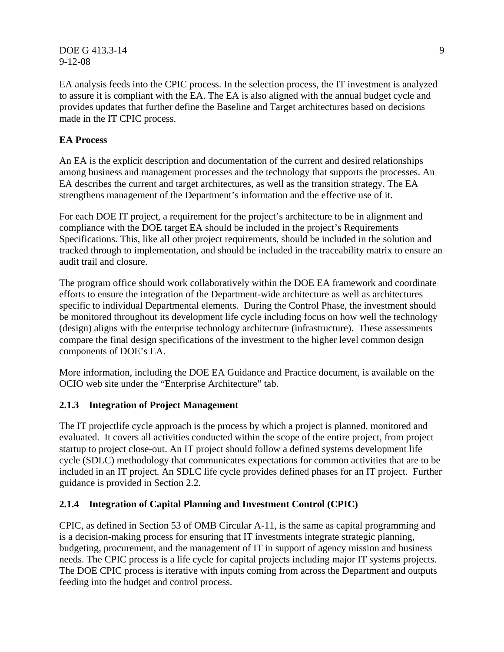#### DOE G 413.3-14 9 9-12-08

EA analysis feeds into the CPIC process. In the selection process, the IT investment is analyzed to assure it is compliant with the EA. The EA is also aligned with the annual budget cycle and provides updates that further define the Baseline and Target architectures based on decisions made in the IT CPIC process.

#### **EA Process**

An EA is the explicit description and documentation of the current and desired relationships among business and management processes and the technology that supports the processes. An EA describes the current and target architectures, as well as the transition strategy. The EA strengthens management of the Department's information and the effective use of it.

For each DOE IT project, a requirement for the project's architecture to be in alignment and compliance with the DOE target EA should be included in the project's Requirements Specifications. This, like all other project requirements, should be included in the solution and tracked through to implementation, and should be included in the traceability matrix to ensure an audit trail and closure.

The program office should work collaboratively within the DOE EA framework and coordinate efforts to ensure the integration of the Department-wide architecture as well as architectures specific to individual Departmental elements. During the Control Phase, the investment should be monitored throughout its development life cycle including focus on how well the technology (design) aligns with the enterprise technology architecture (infrastructure). These assessments compare the final design specifications of the investment to the higher level common design components of DOE's EA.

More information, including the DOE EA Guidance and Practice document, is available on the OCIO web site under the "Enterprise Architecture" tab.

# **2.1.3 Integration of Project Management**

The IT projectlife cycle approach is the process by which a project is planned, monitored and evaluated. It covers all activities conducted within the scope of the entire project, from project startup to project close-out. An IT project should follow a defined systems development life cycle (SDLC) methodology that communicates expectations for common activities that are to be included in an IT project. An SDLC life cycle provides defined phases for an IT project. Further guidance is provided in Section 2.2.

#### **2.1.4 Integration of Capital Planning and Investment Control (CPIC)**

CPIC, as defined in Section 53 of OMB Circular A-11, is the same as capital programming and is a decision-making process for ensuring that IT investments integrate strategic planning, budgeting, procurement, and the management of IT in support of agency mission and business needs. The CPIC process is a life cycle for capital projects including major IT systems projects. The DOE CPIC process is iterative with inputs coming from across the Department and outputs feeding into the budget and control process.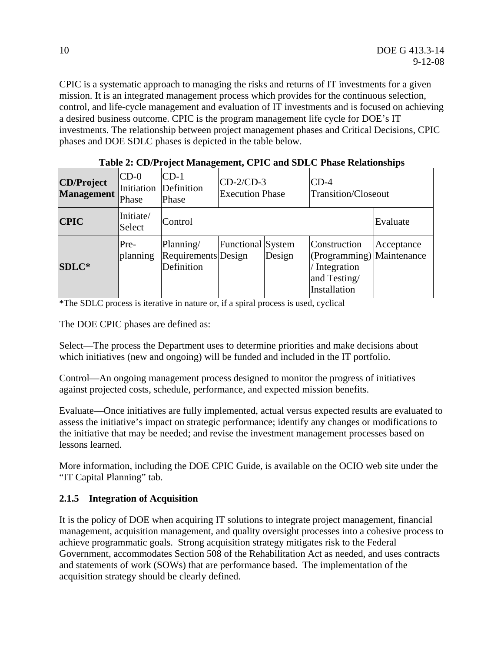CPIC is a systematic approach to managing the risks and returns of IT investments for a given mission. It is an integrated management process which provides for the continuous selection, control, and life-cycle management and evaluation of IT investments and is focused on achieving a desired business outcome. CPIC is the program management life cycle for DOE's IT investments. The relationship between project management phases and Critical Decisions, CPIC phases and DOE SDLC phases is depicted in the table below.

| <b>CD/Project</b><br><b>Management</b> | ICD-0<br>Initiation<br>Phase | $CD-1$<br>$CD-2/CD-3$<br>$CD-4$<br>Definition<br><b>Transition/Closeout</b><br><b>Execution Phase</b><br>Phase |                   |        |                                                                                          |            |
|----------------------------------------|------------------------------|----------------------------------------------------------------------------------------------------------------|-------------------|--------|------------------------------------------------------------------------------------------|------------|
| <b>CPIC</b>                            | Initiate/<br>Select          | Control                                                                                                        |                   |        | Evaluate                                                                                 |            |
| <b>SDLC*</b>                           | Pre-<br>planning             | Planning/<br>Requirements Design<br>Definition                                                                 | Functional System | Design | Construction<br>(Programming) Maintenance<br>Integration<br>and Testing/<br>Installation | Acceptance |

| Table 2: CD/Project Management, CPIC and SDLC Phase Relationships |  |
|-------------------------------------------------------------------|--|
|                                                                   |  |

\*The SDLC process is iterative in nature or, if a spiral process is used, cyclical

The DOE CPIC phases are defined as:

Select—The process the Department uses to determine priorities and make decisions about which initiatives (new and ongoing) will be funded and included in the IT portfolio.

Control—An ongoing management process designed to monitor the progress of initiatives against projected costs, schedule, performance, and expected mission benefits.

Evaluate—Once initiatives are fully implemented, actual versus expected results are evaluated to assess the initiative's impact on strategic performance; identify any changes or modifications to the initiative that may be needed; and revise the investment management processes based on lessons learned.

More information, including the DOE CPIC Guide, is available on the OCIO web site under the "IT Capital Planning" tab.

# **2.1.5 Integration of Acquisition**

It is the policy of DOE when acquiring IT solutions to integrate project management, financial management, acquisition management, and quality oversight processes into a cohesive process to achieve programmatic goals. Strong acquisition strategy mitigates risk to the Federal Government, accommodates Section 508 of the Rehabilitation Act as needed, and uses contracts and statements of work (SOWs) that are performance based. The implementation of the acquisition strategy should be clearly defined.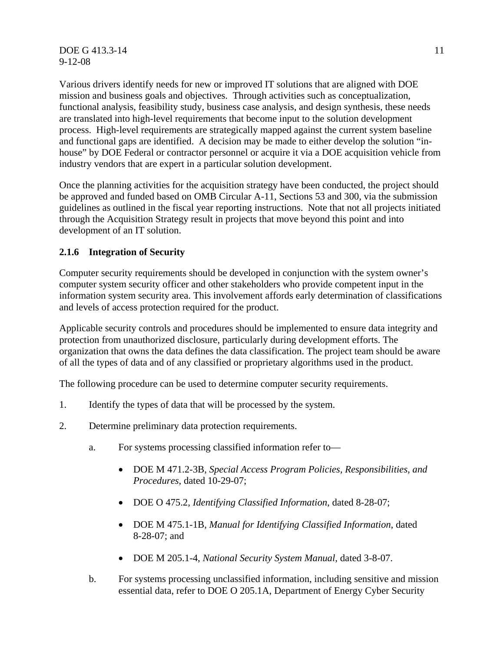DOE G 413.3-14 11 9-12-08

Various drivers identify needs for new or improved IT solutions that are aligned with DOE mission and business goals and objectives. Through activities such as conceptualization, functional analysis, feasibility study, business case analysis, and design synthesis, these needs are translated into high-level requirements that become input to the solution development process. High-level requirements are strategically mapped against the current system baseline and functional gaps are identified. A decision may be made to either develop the solution "inhouse" by DOE Federal or contractor personnel or acquire it via a DOE acquisition vehicle from industry vendors that are expert in a particular solution development.

Once the planning activities for the acquisition strategy have been conducted, the project should be approved and funded based on OMB Circular A-11, Sections 53 and 300, via the submission guidelines as outlined in the fiscal year reporting instructions. Note that not all projects initiated through the Acquisition Strategy result in projects that move beyond this point and into development of an IT solution.

#### **2.1.6 Integration of Security**

Computer security requirements should be developed in conjunction with the system owner's computer system security officer and other stakeholders who provide competent input in the information system security area. This involvement affords early determination of classifications and levels of access protection required for the product.

Applicable security controls and procedures should be implemented to ensure data integrity and protection from unauthorized disclosure, particularly during development efforts. The organization that owns the data defines the data classification. The project team should be aware of all the types of data and of any classified or proprietary algorithms used in the product.

The following procedure can be used to determine computer security requirements.

- 1. Identify the types of data that will be processed by the system.
- 2. Determine preliminary data protection requirements.
	- a. For systems processing classified information refer to—
		- DOE M 471.2-3B, *Special Access Program Policies, Responsibilities, and Procedures*, dated 10-29-07;
		- DOE O 475.2, *Identifying Classified Information*, dated 8-28-07;
		- DOE M 475.1-1B, *Manual for Identifying Classified Information*, dated 8-28-07; and
		- DOE M 205.1-4, *National Security System Manual*, dated 3-8-07.
	- b. For systems processing unclassified information, including sensitive and mission essential data, refer to DOE O 205.1A, Department of Energy Cyber Security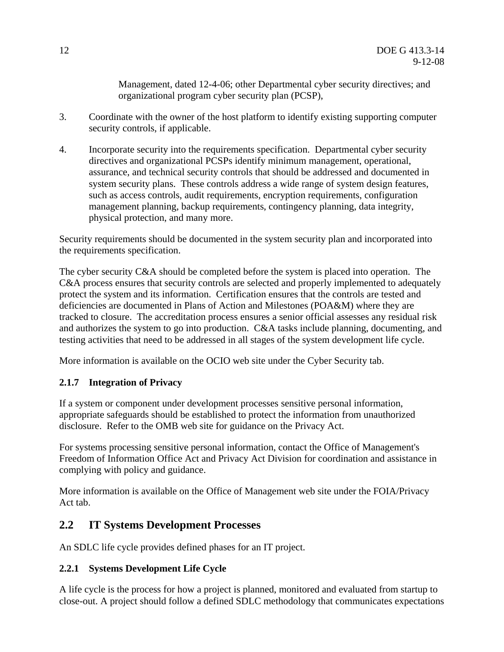Management, dated 12-4-06; other Departmental cyber security directives; and organizational program cyber security plan (PCSP),

- 3. Coordinate with the owner of the host platform to identify existing supporting computer security controls, if applicable.
- 4. Incorporate security into the requirements specification. Departmental cyber security directives and organizational PCSPs identify minimum management, operational, assurance, and technical security controls that should be addressed and documented in system security plans. These controls address a wide range of system design features, such as access controls, audit requirements, encryption requirements, configuration management planning, backup requirements, contingency planning, data integrity, physical protection, and many more.

Security requirements should be documented in the system security plan and incorporated into the requirements specification.

The cyber security C&A should be completed before the system is placed into operation. The C&A process ensures that security controls are selected and properly implemented to adequately protect the system and its information. Certification ensures that the controls are tested and deficiencies are documented in Plans of Action and Milestones (POA&M) where they are tracked to closure. The accreditation process ensures a senior official assesses any residual risk and authorizes the system to go into production. C&A tasks include planning, documenting, and testing activities that need to be addressed in all stages of the system development life cycle.

More information is available on the OCIO web site under the Cyber Security tab.

# **2.1.7 Integration of Privacy**

If a system or component under development processes sensitive personal information, appropriate safeguards should be established to protect the information from unauthorized disclosure. Refer to the OMB web site for guidance on the Privacy Act.

For systems processing sensitive personal information, contact the Office of Management's Freedom of Information Office Act and Privacy Act Division for coordination and assistance in complying with policy and guidance.

More information is available on the Office of Management web site under the FOIA/Privacy Act tab.

# **2.2 IT Systems Development Processes**

An SDLC life cycle provides defined phases for an IT project.

# **2.2.1 Systems Development Life Cycle**

A life cycle is the process for how a project is planned, monitored and evaluated from startup to close-out. A project should follow a defined SDLC methodology that communicates expectations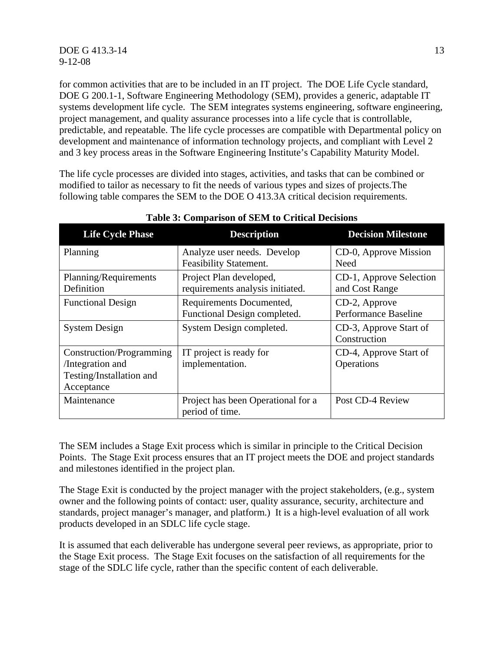for common activities that are to be included in an IT project. The DOE Life Cycle standard, DOE G 200.1-1, Software Engineering Methodology (SEM), provides a generic, adaptable IT systems development life cycle. The SEM integrates systems engineering, software engineering, project management, and quality assurance processes into a life cycle that is controllable, predictable, and repeatable. The life cycle processes are compatible with Departmental policy on development and maintenance of information technology projects, and compliant with Level 2 and 3 key process areas in the Software Engineering Institute's Capability Maturity Model.

The life cycle processes are divided into stages, activities, and tasks that can be combined or modified to tailor as necessary to fit the needs of various types and sizes of projects.The following table compares the SEM to the DOE O 413.3A critical decision requirements.

| <b>Life Cycle Phase</b>                                                                | <b>Description</b>                                          | <b>Decision Milestone</b>                    |
|----------------------------------------------------------------------------------------|-------------------------------------------------------------|----------------------------------------------|
| Planning                                                                               | Analyze user needs. Develop<br>Feasibility Statement.       | CD-0, Approve Mission<br>Need                |
| Planning/Requirements<br>Definition                                                    | Project Plan developed,<br>requirements analysis initiated. | CD-1, Approve Selection<br>and Cost Range    |
| <b>Functional Design</b>                                                               | Requirements Documented,<br>Functional Design completed.    | CD-2, Approve<br><b>Performance Baseline</b> |
| <b>System Design</b>                                                                   | System Design completed.                                    | CD-3, Approve Start of<br>Construction       |
| Construction/Programming<br>/Integration and<br>Testing/Installation and<br>Acceptance | IT project is ready for<br>implementation.                  | CD-4, Approve Start of<br>Operations         |
| Maintenance                                                                            | Project has been Operational for a<br>period of time.       | Post CD-4 Review                             |

#### **Table 3: Comparison of SEM to Critical Decisions**

The SEM includes a Stage Exit process which is similar in principle to the Critical Decision Points. The Stage Exit process ensures that an IT project meets the DOE and project standards and milestones identified in the project plan.

The Stage Exit is conducted by the project manager with the project stakeholders, (e.g., system owner and the following points of contact: user, quality assurance, security, architecture and standards, project manager's manager, and platform.) It is a high-level evaluation of all work products developed in an SDLC life cycle stage.

It is assumed that each deliverable has undergone several peer reviews, as appropriate, prior to the Stage Exit process. The Stage Exit focuses on the satisfaction of all requirements for the stage of the SDLC life cycle, rather than the specific content of each deliverable.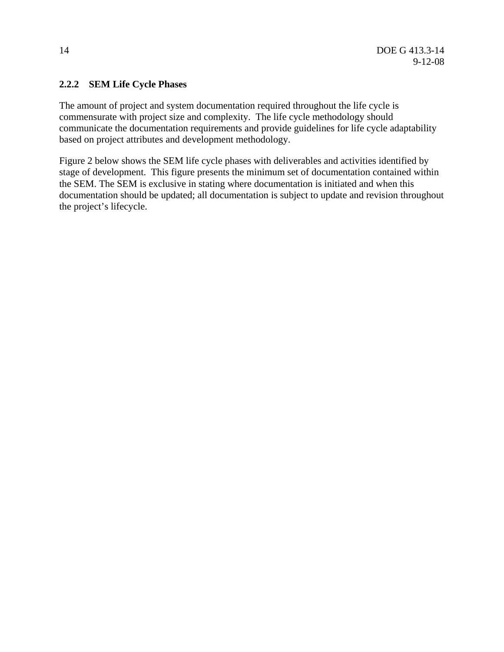#### **2.2.2 SEM Life Cycle Phases**

The amount of project and system documentation required throughout the life cycle is commensurate with project size and complexity. The life cycle methodology should communicate the documentation requirements and provide guidelines for life cycle adaptability based on project attributes and development methodology.

Figure 2 below shows the SEM life cycle phases with deliverables and activities identified by stage of development. This figure presents the minimum set of documentation contained within the SEM. The SEM is exclusive in stating where documentation is initiated and when this documentation should be updated; all documentation is subject to update and revision throughout the project's lifecycle.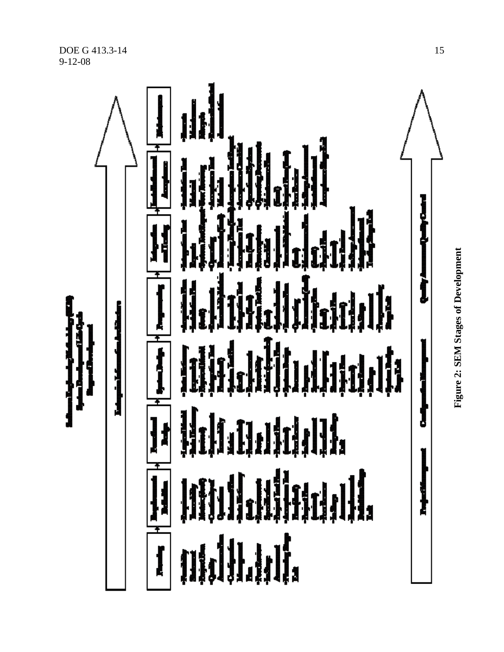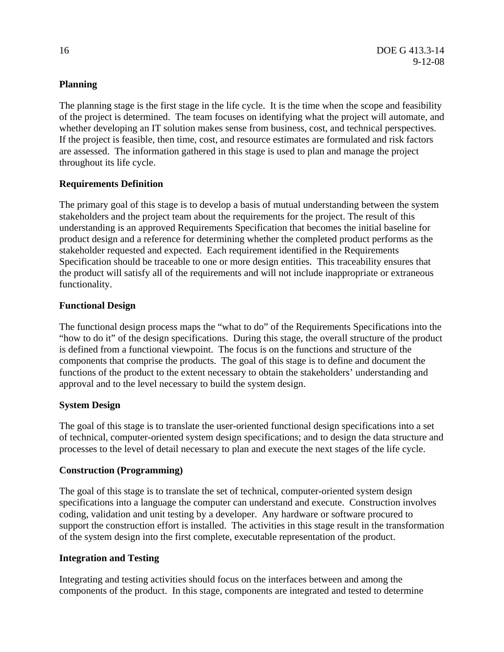#### **Planning**

The planning stage is the first stage in the life cycle. It is the time when the scope and feasibility of the project is determined. The team focuses on identifying what the project will automate, and whether developing an IT solution makes sense from business, cost, and technical perspectives. If the project is feasible, then time, cost, and resource estimates are formulated and risk factors are assessed. The information gathered in this stage is used to plan and manage the project throughout its life cycle.

# **Requirements Definition**

The primary goal of this stage is to develop a basis of mutual understanding between the system stakeholders and the project team about the requirements for the project. The result of this understanding is an approved Requirements Specification that becomes the initial baseline for product design and a reference for determining whether the completed product performs as the stakeholder requested and expected. Each requirement identified in the Requirements Specification should be traceable to one or more design entities. This traceability ensures that the product will satisfy all of the requirements and will not include inappropriate or extraneous functionality.

# **Functional Design**

The functional design process maps the "what to do" of the Requirements Specifications into the "how to do it" of the design specifications. During this stage, the overall structure of the product is defined from a functional viewpoint. The focus is on the functions and structure of the components that comprise the products. The goal of this stage is to define and document the functions of the product to the extent necessary to obtain the stakeholders' understanding and approval and to the level necessary to build the system design.

# **System Design**

The goal of this stage is to translate the user-oriented functional design specifications into a set of technical, computer-oriented system design specifications; and to design the data structure and processes to the level of detail necessary to plan and execute the next stages of the life cycle.

#### **Construction (Programming)**

The goal of this stage is to translate the set of technical, computer-oriented system design specifications into a language the computer can understand and execute. Construction involves coding, validation and unit testing by a developer. Any hardware or software procured to support the construction effort is installed. The activities in this stage result in the transformation of the system design into the first complete, executable representation of the product.

#### **Integration and Testing**

Integrating and testing activities should focus on the interfaces between and among the components of the product. In this stage, components are integrated and tested to determine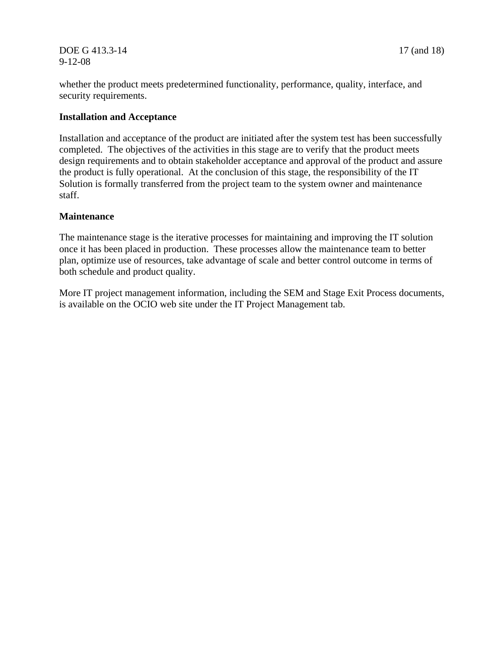#### DOE G 413.3-14 17 (and 18) 9-12-08

whether the product meets predetermined functionality, performance, quality, interface, and security requirements.

#### **Installation and Acceptance**

Installation and acceptance of the product are initiated after the system test has been successfully completed. The objectives of the activities in this stage are to verify that the product meets design requirements and to obtain stakeholder acceptance and approval of the product and assure the product is fully operational. At the conclusion of this stage, the responsibility of the IT Solution is formally transferred from the project team to the system owner and maintenance staff.

#### **Maintenance**

The maintenance stage is the iterative processes for maintaining and improving the IT solution once it has been placed in production. These processes allow the maintenance team to better plan, optimize use of resources, take advantage of scale and better control outcome in terms of both schedule and product quality.

More IT project management information, including the SEM and Stage Exit Process documents, is available on the OCIO web site under the IT Project Management tab.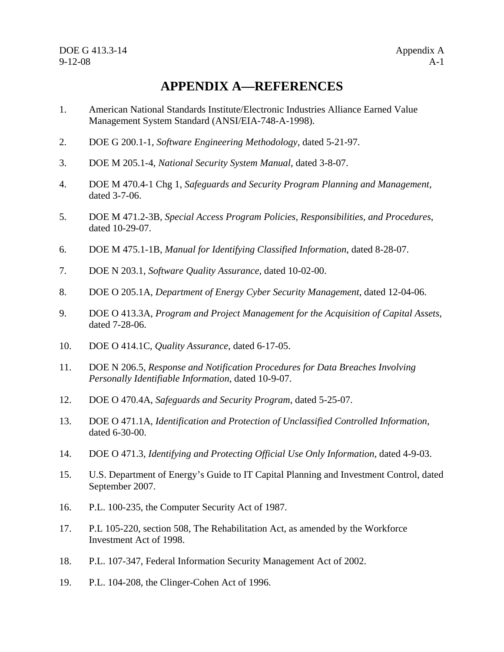# **APPENDIX A—REFERENCES**

- 1. American National Standards Institute/Electronic Industries Alliance Earned Value Management System Standard (ANSI/EIA-748-A-1998).
- 2. DOE G 200.1-1, *Software Engineering Methodology*, dated 5-21-97.
- 3. DOE M 205.1-4, *National Security System Manual*, dated 3-8-07.
- 4. DOE M 470.4-1 Chg 1, *Safeguards and Security Program Planning and Management*, dated 3-7-06.
- 5. DOE M 471.2-3B, *Special Access Program Policies, Responsibilities, and Procedures*, dated 10-29-07.
- 6. DOE M 475.1-1B, *Manual for Identifying Classified Information*, dated 8-28-07.
- 7. DOE N 203.1, *Software Quality Assurance,* dated 10-02-00.
- 8. DOE O 205.1A, *Department of Energy Cyber Security Management*, dated 12-04-06.
- 9. DOE O 413.3A, *Program and Project Management for the Acquisition of Capital Assets*, dated 7-28-06.
- 10. DOE O 414.1C, *Quality Assurance*, dated 6-17-05.
- 11. DOE N 206.5, *Response and Notification Procedures for Data Breaches Involving Personally Identifiable Information*, dated 10-9-07.
- 12. DOE O 470.4A, *Safeguards and Security Program*, dated 5-25-07.
- 13. DOE O 471.1A, *Identification and Protection of Unclassified Controlled Information*, dated 6-30-00.
- 14. DOE O 471.3*, Identifying and Protecting Official Use Only Information*, dated 4-9-03.
- 15. U.S. Department of Energy's Guide to IT Capital Planning and Investment Control, dated September 2007.
- 16. P.L. 100-235, the Computer Security Act of 1987.
- 17. P.L 105-220, section 508, The Rehabilitation Act, as amended by the Workforce Investment Act of 1998.
- 18. P.L. 107-347, Federal Information Security Management Act of 2002.
- 19. P.L. 104-208, the Clinger-Cohen Act of 1996.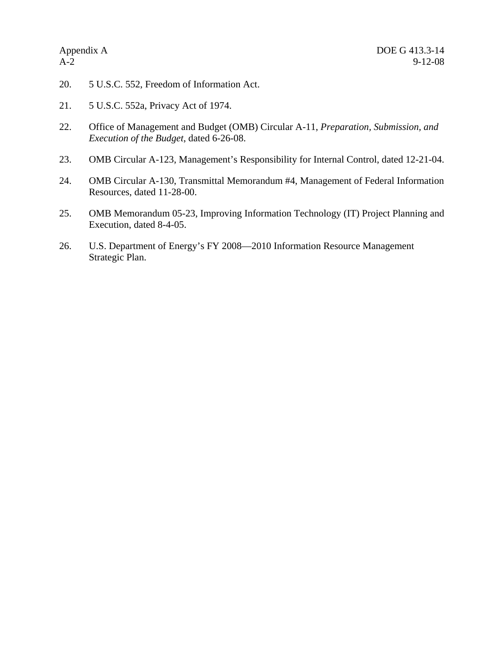- 20. 5 U.S.C. 552, Freedom of Information Act.
- 21. 5 U.S.C. 552a, Privacy Act of 1974.
- 22. Office of Management and Budget (OMB) Circular A-11, *Preparation, Submission, and Execution of the Budget*, dated 6-26-08.
- 23. OMB Circular A-123, Management's Responsibility for Internal Control, dated 12-21-04.
- 24. OMB Circular A-130, Transmittal Memorandum #4, Management of Federal Information Resources, dated 11-28-00.
- 25. OMB Memorandum 05-23, Improving Information Technology (IT) Project Planning and Execution, dated 8-4-05.
- 26. U.S. Department of Energy's FY 2008—2010 Information Resource Management Strategic Plan.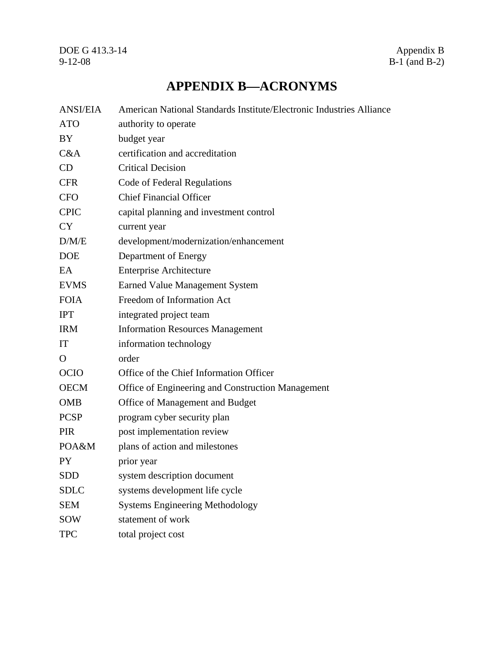# **APPENDIX B—ACRONYMS**

| <b>ANSI/EIA</b> | American National Standards Institute/Electronic Industries Alliance |
|-----------------|----------------------------------------------------------------------|
| <b>ATO</b>      | authority to operate                                                 |
| BY              | budget year                                                          |
| C&A             | certification and accreditation                                      |
| CD              | <b>Critical Decision</b>                                             |
| <b>CFR</b>      | Code of Federal Regulations                                          |
| <b>CFO</b>      | <b>Chief Financial Officer</b>                                       |
| <b>CPIC</b>     | capital planning and investment control                              |
| <b>CY</b>       | current year                                                         |
| D/M/E           | development/modernization/enhancement                                |
| <b>DOE</b>      | Department of Energy                                                 |
| EA              | <b>Enterprise Architecture</b>                                       |
| <b>EVMS</b>     | <b>Earned Value Management System</b>                                |
| <b>FOIA</b>     | Freedom of Information Act                                           |
| <b>IPT</b>      | integrated project team                                              |
| <b>IRM</b>      | <b>Information Resources Management</b>                              |
| IT              | information technology                                               |
| $\overline{O}$  | order                                                                |
| <b>OCIO</b>     | Office of the Chief Information Officer                              |
| <b>OECM</b>     | Office of Engineering and Construction Management                    |
| <b>OMB</b>      | Office of Management and Budget                                      |
| <b>PCSP</b>     | program cyber security plan                                          |
| <b>PIR</b>      | post implementation review                                           |
| POA&M           | plans of action and milestones                                       |
| PY              | prior year                                                           |
| <b>SDD</b>      | system description document                                          |
| <b>SDLC</b>     | systems development life cycle                                       |
| <b>SEM</b>      | <b>Systems Engineering Methodology</b>                               |
| SOW             | statement of work                                                    |
| <b>TPC</b>      | total project cost                                                   |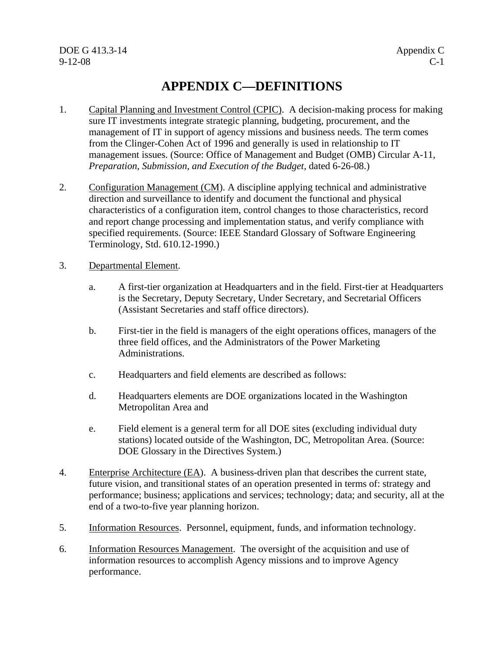# **APPENDIX C—DEFINITIONS**

- 1. Capital Planning and Investment Control (CPIC). A decision-making process for making sure IT investments integrate strategic planning, budgeting, procurement, and the management of IT in support of agency missions and business needs. The term comes from the Clinger-Cohen Act of 1996 and generally is used in relationship to IT management issues. (Source: Office of Management and Budget (OMB) Circular A-11, *Preparation, Submission, and Execution of the Budget*, dated 6-26-08.)
- 2. Configuration Management (CM). A discipline applying technical and administrative direction and surveillance to identify and document the functional and physical characteristics of a configuration item, control changes to those characteristics, record and report change processing and implementation status, and verify compliance with specified requirements. (Source: IEEE Standard Glossary of Software Engineering Terminology, Std. 610.12-1990.)
- 3. Departmental Element.
	- a. A first-tier organization at Headquarters and in the field. First-tier at Headquarters is the Secretary, Deputy Secretary, Under Secretary, and Secretarial Officers (Assistant Secretaries and staff office directors).
	- b. First-tier in the field is managers of the eight operations offices, managers of the three field offices, and the Administrators of the Power Marketing Administrations.
	- c. Headquarters and field elements are described as follows:
	- d. Headquarters elements are DOE organizations located in the Washington Metropolitan Area and
	- e. Field element is a general term for all DOE sites (excluding individual duty stations) located outside of the Washington, DC, Metropolitan Area. (Source: DOE Glossary in the Directives System.)
- 4. Enterprise Architecture (EA). A business-driven plan that describes the current state, future vision, and transitional states of an operation presented in terms of: strategy and performance; business; applications and services; technology; data; and security, all at the end of a two-to-five year planning horizon.
- 5. Information Resources. Personnel, equipment, funds, and information technology.
- 6. Information Resources Management. The oversight of the acquisition and use of information resources to accomplish Agency missions and to improve Agency performance.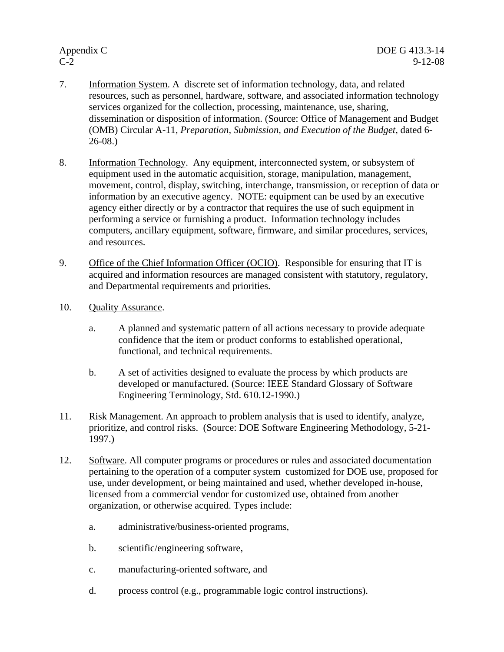- 7. Information System. A discrete set of information technology, data, and related resources, such as personnel, hardware, software, and associated information technology services organized for the collection, processing, maintenance, use, sharing, dissemination or disposition of information. (Source: Office of Management and Budget (OMB) Circular A-11, *Preparation, Submission, and Execution of the Budget*, dated 6- 26-08.)
- 8. Information Technology. Any equipment, interconnected system, or subsystem of equipment used in the automatic acquisition, storage, manipulation, management, movement, control, display, switching, interchange, transmission, or reception of data or information by an executive agency. NOTE: equipment can be used by an executive agency either directly or by a contractor that requires the use of such equipment in performing a service or furnishing a product. Information technology includes computers, ancillary equipment, software, firmware, and similar procedures, services, and resources.
- 9. Office of the Chief Information Officer (OCIO). Responsible for ensuring that IT is acquired and information resources are managed consistent with statutory, regulatory, and Departmental requirements and priorities.
- 10. Quality Assurance.
	- a. A planned and systematic pattern of all actions necessary to provide adequate confidence that the item or product conforms to established operational, functional, and technical requirements.
	- b. A set of activities designed to evaluate the process by which products are developed or manufactured. (Source: IEEE Standard Glossary of Software Engineering Terminology, Std. 610.12-1990.)
- 11. Risk Management. An approach to problem analysis that is used to identify, analyze, prioritize, and control risks. (Source: DOE Software Engineering Methodology, 5-21- 1997.)
- 12. Software. All computer programs or procedures or rules and associated documentation pertaining to the operation of a computer system customized for DOE use, proposed for use, under development, or being maintained and used, whether developed in-house, licensed from a commercial vendor for customized use, obtained from another organization, or otherwise acquired. Types include:
	- a. administrative/business-oriented programs,
	- b. scientific/engineering software,
	- c. manufacturing-oriented software, and
	- d. process control (e.g., programmable logic control instructions).